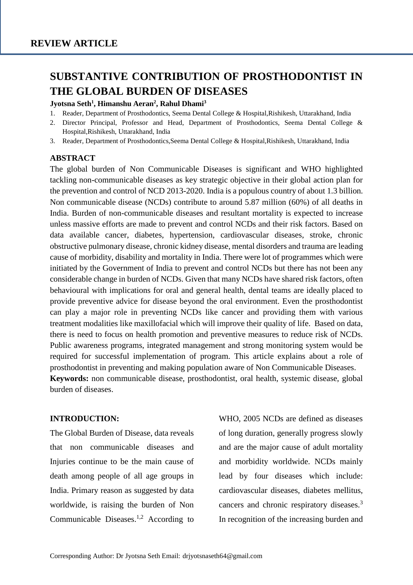# **SUBSTANTIVE CONTRIBUTION OF PROSTHODONTIST IN THE GLOBAL BURDEN OF DISEASES**

#### **Jyotsna Seth<sup>1</sup> , Himanshu Aeran<sup>2</sup> , Rahul Dhami<sup>3</sup>**

- 1. Reader, Department of Prosthodontics, Seema Dental College & Hospital,Rishikesh, Uttarakhand, India
- 2. Director Principal, Professor and Head, Department of Prosthodontics, Seema Dental College & Hospital,Rishikesh, Uttarakhand, India
- 3. Reader, Department of Prosthodontics,Seema Dental College & Hospital,Rishikesh, Uttarakhand, India

#### **ABSTRACT**

The global burden of Non Communicable Diseases is significant and WHO highlighted tackling non-communicable diseases as key strategic objective in their global action plan for the prevention and control of NCD 2013-2020. India is a populous country of about 1.3 billion. Non communicable disease (NCDs) contribute to around 5.87 million (60%) of all deaths in India. Burden of non-communicable diseases and resultant mortality is expected to increase unless massive efforts are made to prevent and control NCDs and their risk factors. Based on data available cancer, diabetes, hypertension, cardiovascular diseases, stroke, chronic obstructive pulmonary disease, chronic kidney disease, mental disorders and trauma are leading cause of morbidity, disability and mortality in India. There were lot of programmes which were initiated by the Government of India to prevent and control NCDs but there has not been any considerable change in burden of NCDs. Given that many NCDs have shared risk factors, often behavioural with implications for oral and general health, dental teams are ideally placed to provide preventive advice for disease beyond the oral environment. Even the prosthodontist can play a major role in preventing NCDs like cancer and providing them with various treatment modalities like maxillofacial which will improve their quality of life. Based on data, there is need to focus on health promotion and preventive measures to reduce risk of NCDs. Public awareness programs, integrated management and strong monitoring system would be required for successful implementation of program. This article explains about a role of prosthodontist in preventing and making population aware of Non Communicable Diseases. **Keywords:** non communicable disease, prosthodontist, oral health, systemic disease, global burden of diseases.

#### **INTRODUCTION:**

The Global Burden of Disease, data reveals that non communicable diseases and Injuries continue to be the main cause of death among people of all age groups in India. Primary reason as suggested by data worldwide, is raising the burden of Non Communicable Diseases.<sup>1,2</sup> According to WHO, 2005 NCDs are defined as diseases of long duration, generally progress slowly and are the major cause of adult mortality and morbidity worldwide. NCDs mainly lead by four diseases which include: cardiovascular diseases, diabetes mellitus, cancers and chronic respiratory diseases.<sup>3</sup> In recognition of the increasing burden and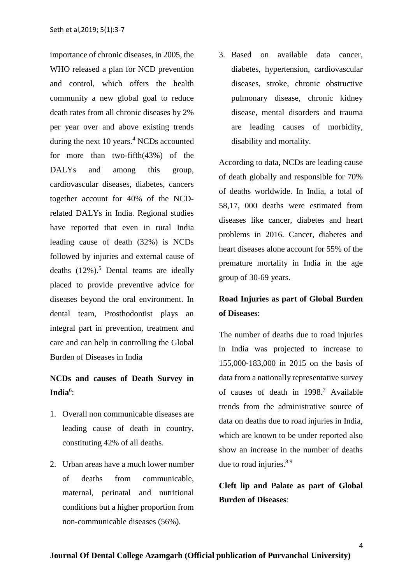importance of chronic diseases, in 2005, the WHO released a plan for NCD prevention and control, which offers the health community a new global goal to reduce death rates from all chronic diseases by 2% per year over and above existing trends during the next  $10$  years.<sup>4</sup> NCDs accounted for more than two-fifth(43%) of the DALYs and among this group, cardiovascular diseases, diabetes, cancers together account for 40% of the NCDrelated DALYs in India. Regional studies have reported that even in rural India leading cause of death (32%) is NCDs followed by injuries and external cause of deaths  $(12\%)$ .<sup>5</sup> Dental teams are ideally placed to provide preventive advice for diseases beyond the oral environment. In dental team, Prosthodontist plays an integral part in prevention, treatment and care and can help in controlling the Global Burden of Diseases in India

### **NCDs and causes of Death Survey in**  India<sup>6</sup>:

- 1. Overall non communicable diseases are leading cause of death in country, constituting 42% of all deaths.
- 2. Urban areas have a much lower number of deaths from communicable, maternal, perinatal and nutritional conditions but a higher proportion from non-communicable diseases (56%).

3. Based on available data cancer, diabetes, hypertension, cardiovascular diseases, stroke, chronic obstructive pulmonary disease, chronic kidney disease, mental disorders and trauma are leading causes of morbidity, disability and mortality.

According to data, NCDs are leading cause of death globally and responsible for 70% of deaths worldwide. In India, a total of 58,17, 000 deaths were estimated from diseases like cancer, diabetes and heart problems in 2016. Cancer, diabetes and heart diseases alone account for 55% of the premature mortality in India in the age group of 30-69 years.

### **Road Injuries as part of Global Burden of Diseases**:

The number of deaths due to road injuries in India was projected to increase to 155,000-183,000 in 2015 on the basis of data from a nationally representative survey of causes of death in 1998.<sup>7</sup> Available trends from the administrative source of data on deaths due to road injuries in India, which are known to be under reported also show an increase in the number of deaths due to road injuries.<sup>8,9</sup>

**Cleft lip and Palate as part of Global Burden of Diseases**: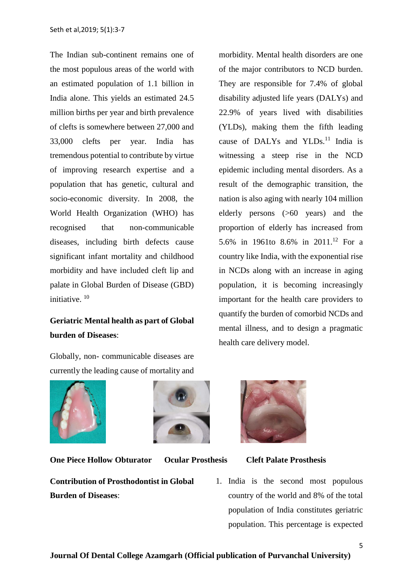The Indian sub-continent remains one of the most populous areas of the world with an estimated population of 1.1 billion in India alone. This yields an estimated 24.5 million births per year and birth prevalence of clefts is somewhere between 27,000 and 33,000 clefts per year. India has tremendous potential to contribute by virtue of improving research expertise and a population that has genetic, cultural and socio-economic diversity. In 2008, the World Health Organization (WHO) has recognised that non-communicable diseases, including birth defects cause significant infant mortality and childhood morbidity and have included cleft lip and palate in Global Burden of Disease (GBD) initiative.<sup>10</sup>

## **Geriatric Mental health as part of Global burden of Diseases**:

Globally, non- communicable diseases are currently the leading cause of mortality and



**One Piece Hollow Obturator Ocular Prosthesis Cleft Palate Prosthesis**

**Contribution of Prosthodontist in Global Burden of Diseases**:

morbidity. Mental health disorders are one of the major contributors to NCD burden. They are responsible for 7.4% of global disability adjusted life years (DALYs) and 22.9% of years lived with disabilities (YLDs), making them the fifth leading cause of DALYs and YLDs. $^{11}$  India is witnessing a steep rise in the NCD epidemic including mental disorders. As a result of the demographic transition, the nation is also aging with nearly 104 million elderly persons (>60 years) and the proportion of elderly has increased from 5.6% in 1961to 8.6% in 2011.<sup>12</sup> For a country like India, with the exponential rise in NCDs along with an increase in aging population, it is becoming increasingly important for the health care providers to quantify the burden of comorbid NCDs and mental illness, and to design a pragmatic health care delivery model.



1. India is the second most populous country of the world and 8% of the total population of India constitutes geriatric population. This percentage is expected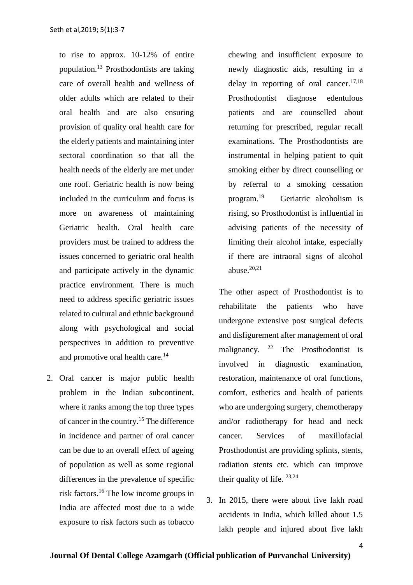to rise to approx. 10-12% of entire population.<sup>13</sup> Prosthodontists are taking care of overall health and wellness of older adults which are related to their oral health and are also ensuring provision of quality oral health care for the elderly patients and maintaining inter sectoral coordination so that all the health needs of the elderly are met under one roof. Geriatric health is now being included in the curriculum and focus is more on awareness of maintaining Geriatric health. Oral health care providers must be trained to address the issues concerned to geriatric oral health and participate actively in the dynamic practice environment. There is much need to address specific geriatric issues related to cultural and ethnic background along with psychological and social perspectives in addition to preventive and promotive oral health care.<sup>14</sup>

2. Oral cancer is major public health problem in the Indian subcontinent, where it ranks among the top three types of cancer in the country.<sup>15</sup> The difference in incidence and partner of oral cancer can be due to an overall effect of ageing of population as well as some regional differences in the prevalence of specific risk factors.<sup>16</sup> The low income groups in India are affected most due to a wide exposure to risk factors such as tobacco

chewing and insufficient exposure to newly diagnostic aids, resulting in a delay in reporting of oral cancer. $17,18$ Prosthodontist diagnose edentulous patients and are counselled about returning for prescribed, regular recall examinations. The Prosthodontists are instrumental in helping patient to quit smoking either by direct counselling or by referral to a smoking cessation program.<sup>19</sup> Geriatric alcoholism is rising, so Prosthodontist is influential in advising patients of the necessity of limiting their alcohol intake, especially if there are intraoral signs of alcohol abuse. $20,21$ 

The other aspect of Prosthodontist is to rehabilitate the patients who have undergone extensive post surgical defects and disfigurement after management of oral malignancy.  $2^2$  The Prosthodontist is involved in diagnostic examination, restoration, maintenance of oral functions, comfort, esthetics and health of patients who are undergoing surgery, chemotherapy and/or radiotherapy for head and neck cancer. Services of maxillofacial Prosthodontist are providing splints, stents, radiation stents etc. which can improve their quality of life.  $23,24$ 

3. In 2015, there were about five lakh road accidents in India, which killed about 1.5 lakh people and injured about five lakh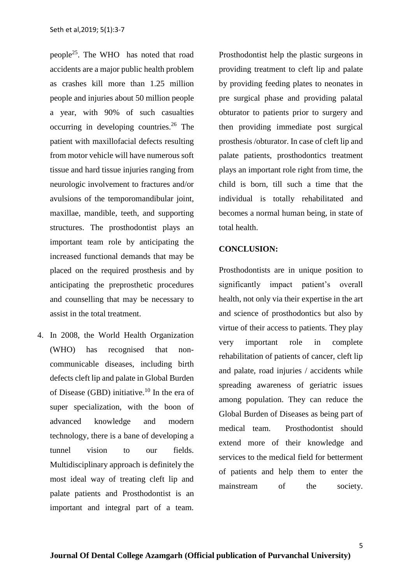people<sup>25</sup>. The WHO has noted that road accidents are a major public health problem as crashes kill more than 1.25 million people and injuries about 50 million people a year, with 90% of such casualties occurring in developing countries.<sup>26</sup> The patient with maxillofacial defects resulting from motor vehicle will have numerous soft tissue and hard tissue injuries ranging from neurologic involvement to fractures and/or avulsions of the temporomandibular joint, maxillae, mandible, teeth, and supporting structures. The prosthodontist plays an important team role by anticipating the increased functional demands that may be placed on the required prosthesis and by anticipating the preprosthetic procedures and counselling that may be necessary to assist in the total treatment.

4. In 2008, the World Health Organization (WHO) has recognised that noncommunicable diseases, including birth defects cleft lip and palate in Global Burden of Disease (GBD) initiative.<sup>10</sup> In the era of super specialization, with the boon of advanced knowledge and modern technology, there is a bane of developing a tunnel vision to our fields. Multidisciplinary approach is definitely the most ideal way of treating cleft lip and palate patients and Prosthodontist is an important and integral part of a team.

Prosthodontist help the plastic surgeons in providing treatment to cleft lip and palate by providing feeding plates to neonates in pre surgical phase and providing palatal obturator to patients prior to surgery and then providing immediate post surgical prosthesis /obturator. In case of cleft lip and palate patients, prosthodontics treatment plays an important role right from time, the child is born, till such a time that the individual is totally rehabilitated and becomes a normal human being, in state of total health.

### **CONCLUSION:**

Prosthodontists are in unique position to significantly impact patient's overall health, not only via their expertise in the art and science of prosthodontics but also by virtue of their access to patients. They play very important role in complete rehabilitation of patients of cancer, cleft lip and palate, road injuries / accidents while spreading awareness of geriatric issues among population. They can reduce the Global Burden of Diseases as being part of medical team. Prosthodontist should extend more of their knowledge and services to the medical field for betterment of patients and help them to enter the mainstream of the society.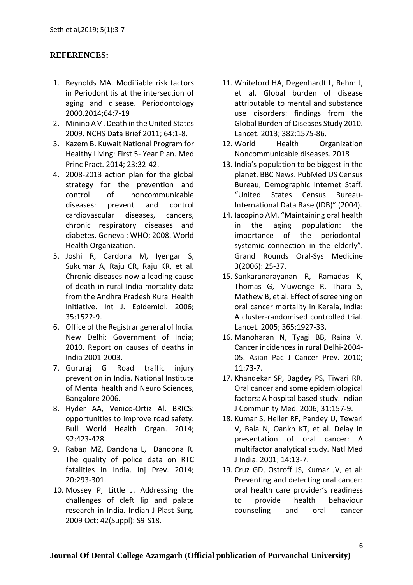### **REFERENCES:**

- 1. Reynolds MA. Modifiable risk factors in Periodontitis at the intersection of aging and disease. Periodontology 2000.2014;64:7-19
- 2. Minino AM. Death in the United States 2009. NCHS Data Brief 2011; 64:1-8.
- 3. Kazem B. Kuwait National Program for Healthy Living: First 5- Year Plan. Med Princ Pract. 2014; 23:32-42.
- 4. 2008-2013 action plan for the global strategy for the prevention and control of noncommunicable diseases: prevent and control cardiovascular diseases, cancers, chronic respiratory diseases and diabetes. Geneva : WHO; 2008. World Health Organization.
- 5. Joshi R, Cardona M, Iyengar S, Sukumar A, Raju CR, Raju KR, et al. Chronic diseases now a leading cause of death in rural India-mortality data from the Andhra Pradesh Rural Health Initiative. Int J. Epidemiol. 2006; 35:1522-9.
- 6. Office of the Registrar general of India. New Delhi: Government of India; 2010. Report on causes of deaths in India 2001-2003.
- 7. Gururaj G Road traffic injury prevention in India. National Institute of Mental health and Neuro Sciences, Bangalore 2006.
- 8. Hyder AA, Venico-Ortiz Al. BRICS: opportunities to improve road safety. Bull World Health Organ. 2014; 92:423-428.
- 9. Raban MZ, Dandona L, Dandona R. The quality of police data on RTC fatalities in India. Inj Prev. 2014; 20:293-301.
- 10. Mossey P, Little J. Addressing the challenges of cleft lip and palate research in India. Indian J Plast Surg. 2009 Oct; 42(Suppl): S9-S18.
- 11. Whiteford HA, Degenhardt L, Rehm J, et al. Global burden of disease attributable to mental and substance use disorders: findings from the Global Burden of Diseases Study 2010. Lancet. 2013; 382:1575-86.
- 12. World Health Organization Noncommunicable diseases. 2018
- 13. India's population to be biggest in the planet. BBC News. PubMed US Census Bureau, Demographic Internet Staff. "United States Census Bureau-International Data Base (IDB)" (2004).
- 14. Iacopino AM. "Maintaining oral health in the aging population: the importance of the periodontalsystemic connection in the elderly". Grand Rounds Oral-Sys Medicine 3(2006): 25-37.
- 15. Sankaranarayanan R, Ramadas K, Thomas G, Muwonge R, Thara S, Mathew B, et al. Effect of screening on oral cancer mortality in Kerala, India: A cluster-randomised controlled trial. Lancet. 2005; 365:1927-33.
- 16. Manoharan N, Tyagi BB, Raina V. Cancer incidences in rural Delhi-2004- 05. Asian Pac J Cancer Prev. 2010; 11:73-7.
- 17. Khandekar SP, Bagdey PS, Tiwari RR. Oral cancer and some epidemiological factors: A hospital based study. Indian J Community Med. 2006; 31:157-9.
- 18. Kumar S, Heller RF, Pandey U, Tewari V, Bala N, Oankh KT, et al. Delay in presentation of oral cancer: A multifactor analytical study. Natl Med J India. 2001; 14:13-7.
- 19. Cruz GD, Ostroff JS, Kumar JV, et al: Preventing and detecting oral cancer: oral health care provider's readiness to provide health behaviour counseling and oral cancer